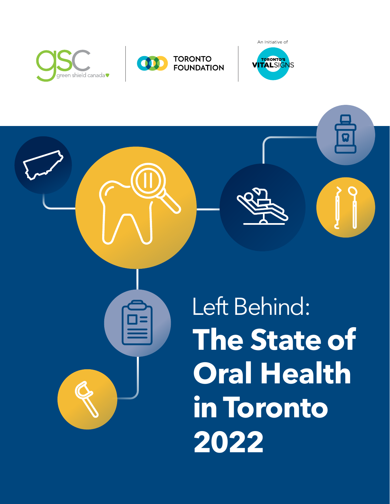





ជ

**The State of Oral Health in Toronto 2022** Left Behind: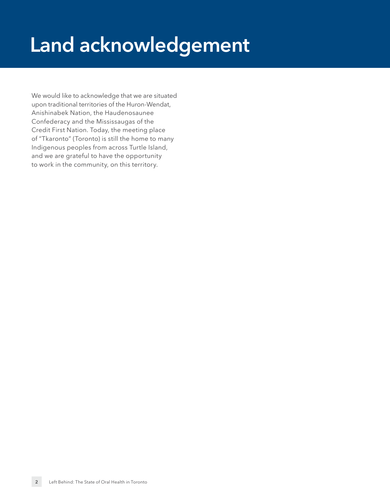# <span id="page-1-0"></span>**Land acknowledgement**

We would like to acknowledge that we are situated upon traditional territories of the Huron-Wendat, Anishinabek Nation, the Haudenosaunee Confederacy and the Mississaugas of the Credit First Nation. Today, the meeting place of "Tkaronto" (Toronto) is still the home to many Indigenous peoples from across Turtle Island, and we are grateful to have the opportunity to work in the community, on this territory.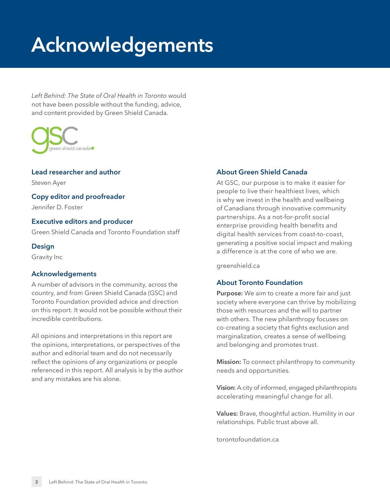# **Acknowledgements**

Left Behind: The State of Oral Health in Toronto would not have been possible without the funding, advice, and content provided by Green Shield Canada.



#### **Lead researcher and author** Steven Ayer **Copy editor and proofreader**

Jennifer D. Foster

#### **Executive editors and producer**

Green Shield Canada and Toronto Foundation staff

#### **Design**

Gravity Inc

#### **Acknowledgements**

A number of advisors in the community, across the country, and from Green Shield Canada (GSC) and Toronto Foundation provided advice and direction on this report. It would not be possible without their incredible contributions.

All opinions and interpretations in this report are the opinions, interpretations, or perspectives of the author and editorial team and do not necessarily reflect the opinions of any organizations or people referenced in this report. All analysis is by the author and any mistakes are his alone.

#### **About Green Shield Canada**

At GSC, our purpose is to make it easier for people to live their healthiest lives, which is why we invest in the health and wellbeing of Canadians through innovative community partnerships. As a not-for-profit social enterprise providing health benefits and digital health services from coast-to-coast, generating a positive social impact and making a difference is at the core of who we are.

[greenshield.ca](http://greenshield.ca)

#### **About Toronto Foundation**

**Purpose:** We aim to create a more fair and just society where everyone can thrive by mobilizing those with resources and the will to partner with others. The new philanthropy focuses on co-creating a society that fights exclusion and marginalization, creates a sense of wellbeing and belonging and promotes trust.

**Mission:** To connect philanthropy to community needs and opportunities.

**Vision:** A city of informed, engaged philanthropists accelerating meaningful change for all.

**Values:** Brave, thoughtful action. Humility in our relationships. Public trust above all.

[torontofoundation.ca](http://torontofoundation.ca)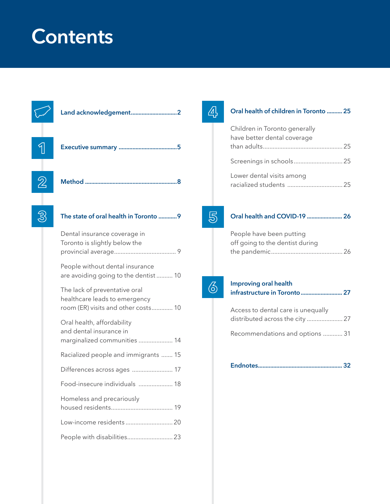# **Contents**

| 2 |                                                                                                       |  |
|---|-------------------------------------------------------------------------------------------------------|--|
|   | The state of oral health in Toronto 9                                                                 |  |
|   | Dental insurance coverage in<br>Toronto is slightly below the                                         |  |
|   | People without dental insurance<br>are avoiding going to the dentist10                                |  |
|   | The lack of preventative oral<br>healthcare leads to emergency<br>room (ER) visits and other costs 10 |  |
|   | Oral health, affordability<br>and dental insurance in<br>marginalized communities  14                 |  |
|   | Racialized people and immigrants  15                                                                  |  |
|   |                                                                                                       |  |
|   | Food-insecure individuals  18                                                                         |  |

**[Oral health of children in Toronto ..........](#page-24-0) 25**

[than adults .................................................](#page-24-1) 25

[Screenings in schools ..............................](#page-24-2) 25

racialized students .................................. 25

**[Oral health and COVID-19 .......................](#page-25-0) 26**

[the pandemic ............................................](#page-25-1) 26

**[infrastructure in Toronto ...........................](#page-26-0) 27**

[distributed across the city ......................](#page-26-1) 27

[Recommendations and options ............](#page-30-0) 31

**[Endnotes .......................................................](#page-31-0) 32**

Access to dental care is unequally

Children in Toronto generally have better dental coverage

[Lower dental visits among](#page-24-3) 

People have been putting off going to the dentist during

**Improving oral health** 

| <u>I UUU-IIISELUIE IIIUIVIUUAIS  IU</u> |
|-----------------------------------------|
| Homeless and precariously               |
|                                         |
|                                         |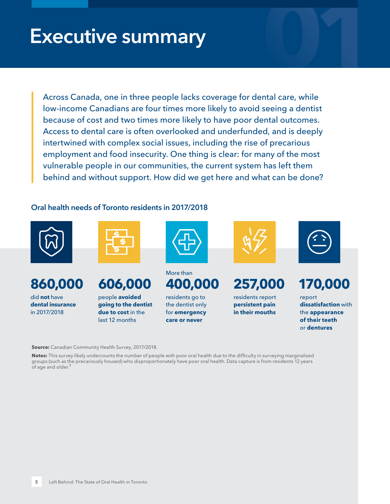# <span id="page-4-1"></span><span id="page-4-0"></span>**Executive summary 01**

Across Canada, one in three people lacks coverage for dental care, while low-income Canadians are four times more likely to avoid seeing a dentist because of cost and two times more likely to have poor dental outcomes. Access to dental care is often overlooked and underfunded, and is deeply intertwined with complex social issues, including the rise of precarious employment and food insecurity. One thing is clear: for many of the most vulnerable people in our communities, the current system has left them behind and without support. How did we get here and what can be done?

#### **Oral health needs of Toronto residents in 2017/2018**



### **860,000**

did **not** have **dental insurance** in 2017/2018





people **avoided going to the dentist due to cost** in the last 12 months



#### M or e than **4 00**

residents go to the dentist only for **emergency care or never**



## **257,000**

residents report **persistent pain in their mouths**



#### **170,000**

report **dissatisfaction** with the **appearance of their teeth** or **dentures**

**Source:** Canadian Community Health Survey, 2017/2018.

**Notes:** This survey likely undercounts the number of people with poor oral health due to the difficulty in surveying marginalized groups (such as the precariously housed) who disproportionately have poor oral health. Data capture is from residents 12 years of age and older.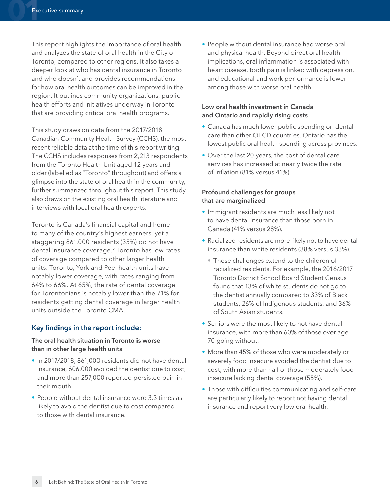This report highlights the importance of oral health and analyzes the state of oral health in the City of Toronto, compared to other regions. It also takes a deeper look at who has dental insurance in Toronto and who doesn't and provides recommendations for how oral health outcomes can be improved in the region. It outlines community organizations, public health efforts and initiatives underway in Toronto that are providing critical oral health programs.

This study draws on data from the 2017/2018 Canadian Community Health Survey (CCHS), the most recent reliable data at the time of this report writing. The CCHS includes responses from 2,213 respondents from the Toronto Health Unit aged 12 years and older (labelled as "Toronto" throughout) and offers a glimpse into the state of oral health in the community, further summarized throughout this report. This study also draws on the existing oral health literature and interviews with local oral health experts.

Toronto is Canada's financial capital and home to many of the country's highest earners, yet a staggering 861,000 residents (35%) do not have dental insurance coverage.[2](#page-31-1) Toronto has low rates of coverage compared to other larger health units. Toronto, York and Peel health units have notably lower coverage, with rates ranging from 64% to 66%. At 65%, the rate of dental coverage for Torontonians is notably lower than the 71% for residents getting dental coverage in larger health units outside the Toronto CMA.

#### **Key findings in the report include:**

#### **The oral health situation in Toronto is worse than in other large health units**

- In 2017/2018, 861,000 residents did not have dental insurance, 606,000 avoided the dentist due to cost, and more than 257,000 reported persisted pain in their mouth.
- People without dental insurance were 3.3 times as likely to avoid the dentist due to cost compared to those with dental insurance.

• People without dental insurance had worse oral and physical health. Beyond direct oral health implications, oral inflammation is associated with heart disease, tooth pain is linked with depression, and educational and work performance is lower among those with worse oral health.

#### **Low oral health investment in Canada and Ontario and rapidly rising costs**

- Canada has much lower public spending on dental care than other OECD countries. Ontario has the lowest public oral health spending across provinces.
- Over the last 20 years, the cost of dental care services has increased at nearly twice the rate of inflation (81% versus 41%).

#### **Profound challenges for groups that are marginalized**

- Immigrant residents are much less likely not to have dental insurance than those born in Canada (41% versus 28%).
- Racialized residents are more likely not to have dental insurance than white residents (38% versus 33%).
	- These challenges extend to the children of racialized residents. For example, the 2016/2017 Toronto District School Board Student Census found that 13% of white students do not go to the dentist annually compared to 33% of Black students, 26% of Indigenous students, and 36% of South Asian students.
- Seniors were the most likely to not have dental insurance, with more than 60% of those over age 70 going without.
- More than 45% of those who were moderately or severely food insecure avoided the dentist due to cost, with more than half of those moderately food insecure lacking dental coverage (55%).
- Those with difficulties communicating and self-care are particularly likely to report not having dental insurance and report very low oral health.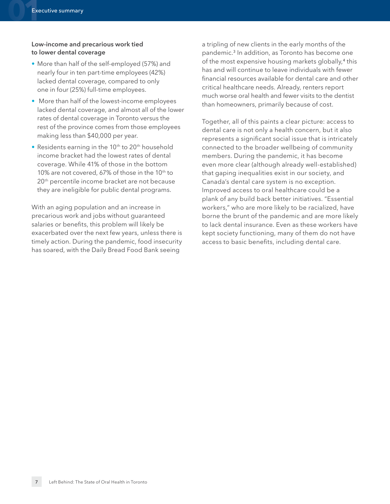#### **Low-income and precarious work tied to lower dental coverage**

- More than half of the self-employed (57%) and nearly four in ten part-time employees (42%) lacked dental coverage, compared to only one in four (25%) full-time employees.
- More than half of the lowest-income employees lacked dental coverage, and almost all of the lower rates of dental coverage in Toronto versus the rest of the province comes from those employees making less than \$40,000 per year.
- Residents earning in the 10<sup>th</sup> to 20<sup>th</sup> household income bracket had the lowest rates of dental coverage. While 41% of those in the bottom 10% are not covered, 67% of those in the 10<sup>th</sup> to 20<sup>th</sup> percentile income bracket are not because they are ineligible for public dental programs.

With an aging population and an increase in precarious work and jobs without guaranteed salaries or benefits, this problem will likely be exacerbated over the next few years, unless there is timely action. During the pandemic, food insecurity has soared, with the Daily Bread Food Bank seeing

a tripling of new clients in the early months of the pandemic.<sup>[3](#page-31-1)</sup> In addition, as Toronto has become one of the most expensive housing markets globally,<sup>[4](#page-31-1)</sup> this has and will continue to leave individuals with fewer financial resources available for dental care and other critical healthcare needs. Already, renters report much worse oral health and fewer visits to the dentist than homeowners, primarily because of cost.

Together, all of this paints a clear picture: access to dental care is not only a health concern, but it also represents a significant social issue that is intricately connected to the broader wellbeing of community members. During the pandemic, it has become even more clear (although already well-established) that gaping inequalities exist in our society, and Canada's dental care system is no exception. Improved access to oral healthcare could be a plank of any build back better initiatives. "Essential workers," who are more likely to be racialized, have borne the brunt of the pandemic and are more likely to lack dental insurance. Even as these workers have kept society functioning, many of them do not have access to basic benefits, including dental care.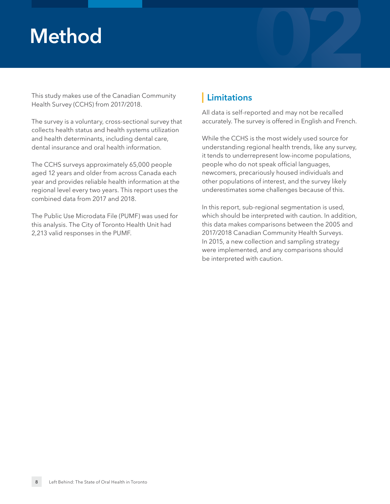# <span id="page-7-0"></span>**Method 02**

This study makes use of the Canadian Community Health Survey (CCHS) from 2017/2018.

The survey is a voluntary, cross-sectional survey that collects health status and health systems utilization and health determinants, including dental care, dental insurance and oral health information.

The CCHS surveys approximately 65,000 people aged 12 years and older from across Canada each year and provides reliable health information at the regional level every two years. This report uses the combined data from 2017 and 2018.

The Public Use Microdata File (PUMF) was used for this analysis. The City of Toronto Health Unit had 2,213 valid responses in the PUMF.

#### **Limitations**

All data is self-reported and may not be recalled accurately. The survey is offered in English and French.

While the CCHS is the most widely used source for understanding regional health trends, like any survey, it tends to underrepresent low-income populations, people who do not speak official languages, newcomers, precariously housed individuals and other populations of interest, and the survey likely underestimates some challenges because of this.

In this report, sub-regional segmentation is used, which should be interpreted with caution. In addition, this data makes comparisons between the 2005 and 2017/2018 Canadian Community Health Surveys. In 2015, a new collection and sampling strategy were implemented, and any comparisons should be interpreted with caution.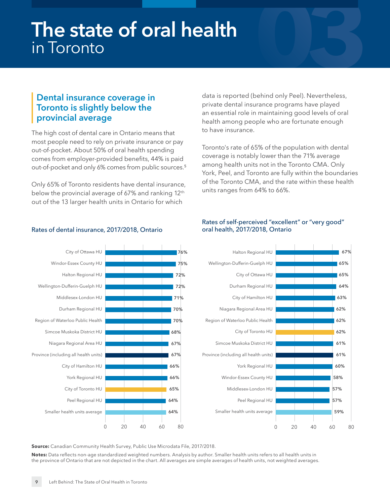# <span id="page-8-0"></span>**03 The state of oral health**  in Toronto

#### <span id="page-8-1"></span>**Dental insurance coverage in Toronto is slightly below the provincial average**

The high cost of dental care in Ontario means that most people need to rely on private insurance or pay out-of-pocket. About 50% of oral health spending comes from employer-provided benefits, 44% is paid out-of-pocket and only 6% comes from public sources.[5](#page-31-1)

Only 65% of Toronto residents have dental insurance, below the provincial average of 67% and ranking 12<sup>th</sup> out of the 13 larger health units in Ontario for which

Rates of dental insurance, 2017/2018, Ontario

data is reported (behind only Peel). Nevertheless, private dental insurance programs have played an essential role in maintaining good levels of oral health among people who are fortunate enough to have insurance.

Toronto's rate of 65% of the population with dental coverage is notably lower than the 71% average among health units not in the Toronto CMA. Only York, Peel, and Toronto are fully within the boundaries of the Toronto CMA, and the rate within these health units ranges from 64% to 66%.

#### Rates of self-perceived "excellent" or "very good" oral health, 2017/2018, Ontario





**Source:** Canadian Community Health Survey, Public Use Microdata File, 2017/2018.

**Notes:** Data reflects non-age standardized weighted numbers. Analysis by author. Smaller health units refers to all health units in the province of Ontario that are not depicted in the chart. All averages are simple averages of health units, not weighted averages.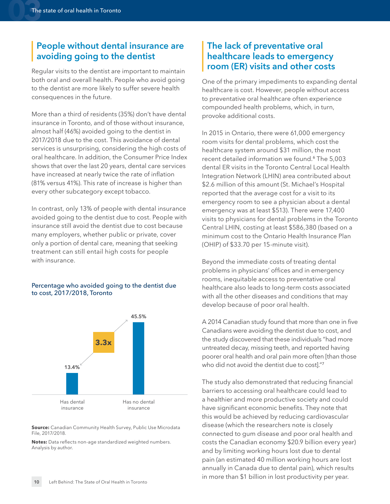#### <span id="page-9-0"></span>**People without dental insurance are avoiding going to the dentist**

Regular visits to the dentist are important to maintain both oral and overall health. People who avoid going to the dentist are more likely to suffer severe health consequences in the future.

More than a third of residents (35%) don't have dental insurance in Toronto, and of those without insurance, almost half (46%) avoided going to the dentist in 2017/2018 due to the cost. This avoidance of dental services is unsurprising, considering the high costs of oral healthcare. In addition, the Consumer Price Index shows that over the last 20 years, dental care services have increased at nearly twice the rate of inflation (81% versus 41%). This rate of increase is higher than every other subcategory except tobacco.

In contrast, only 13% of people with dental insurance avoided going to the dentist due to cost. People with insurance still avoid the dentist due to cost because many employers, whether public or private, cover only a portion of dental care, meaning that seeking treatment can still entail high costs for people with insurance.

#### Percentage who avoided going to the dentist due to cost, 2017/2018, Toronto



**Source:** Canadian Community Health Survey, Public Use Microdata File, 2017/2018.

**Notes:** Data reflects non-age standardized weighted numbers. Analysis by author.

#### <span id="page-9-1"></span>**The lack of preventative oral healthcare leads to emergency room (ER) visits and other costs**

One of the primary impediments to expanding dental healthcare is cost. However, people without access to preventative oral healthcare often experience compounded health problems, which, in turn, provoke additional costs.

In 2015 in Ontario, there were 61,000 emergency room visits for dental problems, which cost the healthcare system around \$31 million, the most recent detailed information we found.<sup>[6](#page-31-1)</sup> The 5,003 dental ER visits in the Toronto Central Local Health Integration Network (LHIN) area contributed about \$2.6 million of this amount (St. Michael's Hospital reported that the average cost for a visit to its emergency room to see a physician about a dental emergency was at least \$513). There were 17,400 visits to physicians for dental problems in the Toronto Central LHIN, costing at least \$586,380 (based on a minimum cost to the Ontario Health Insurance Plan (OHIP) of \$33.70 per 15-minute visit).

Beyond the immediate costs of treating dental problems in physicians' offices and in emergency rooms, inequitable access to preventative oral healthcare also leads to long-term costs associated with all the other diseases and conditions that may develop because of poor oral health.

A 2014 Canadian study found that more than one in five Canadians were avoiding the dentist due to cost, and the study discovered that these individuals "had more untreated decay, missing teeth, and reported having poorer oral health and oral pain more often [than those who did not avoid the dentist due to costl."[7](#page-31-1)

The study also demonstrated that reducing financial barriers to accessing oral healthcare could lead to a healthier and more productive society and could have significant economic benefits. They note that this would be achieved by reducing cardiovascular disease (which the researchers note is closely connected to gum disease and poor oral health and costs the Canadian economy \$20.9 billion every year) and by limiting working hours lost due to dental pain (an estimated 40 million working hours are lost annually in Canada due to dental pain), which results in more than \$1 billion in lost productivity per year.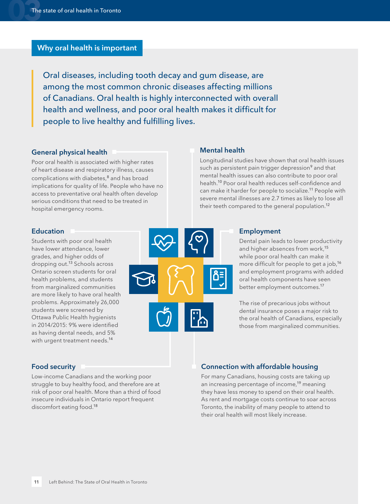#### <span id="page-10-0"></span>**Why oral health is important**

Oral diseases, including tooth decay and gum disease, are among the most common chronic diseases affecting millions of Canadians. Oral health is highly interconnected with overall health and wellness, and poor oral health makes it difficult for people to live healthy and fulfilling lives.

#### **General physical health**

Poor oral health is associated with higher rates of heart disease and respiratory illness, causes complications with diabetes,<sup>[8](#page-31-1)</sup> and has broad implications for quality of life. People who have no access to preventative oral health often develop serious conditions that need to be treated in hospital emergency rooms.

#### **Mental health**

Longitudinal studies have shown that oral health issues such as persistent pain trigger depression<sup>[9](#page-31-1)</sup> and that mental health issues can also contribute to poor oral health.[10](#page-31-1) Poor oral health reduces self-confidence and can make it harder for people to socialize.<sup>[11](#page-31-1)</sup> People with severe mental illnesses are 2.7 times as likely to lose all their teeth compared to the general population.<sup>[12](#page-31-1)</sup>

#### **Education**

Students with poor oral health have lower attendance, lower grades, and higher odds of dropping out.[13](#page-31-1) Schools across Ontario screen students for oral health problems, and students from marginalized communities are more likely to have oral health problems. Approximately 26,000 students were screened by Ottawa Public Health hygienists in 2014/2015: 9% were identified as having dental needs, and 5% with urgent treatment needs.<sup>[14](#page-31-1)</sup>



#### **Employment**

Dental pain leads to lower productivity and higher absences from work,<sup>[15](#page-31-1)</sup> while poor oral health can make it more difficult for people to get a job,<sup>[16](#page-31-1)</sup> and employment programs with added oral health components have seen better employment outcomes.[17](#page-31-1)

The rise of precarious jobs without dental insurance poses a major risk to the oral health of Canadians, especially those from marginalized communities.

#### **Food security**

Low-income Canadians and the working poor struggle to buy healthy food, and therefore are at risk of poor oral health. More than a third of food insecure individuals in Ontario report frequent discomfort eating food.[18](#page-31-1)

#### **Connection with affordable housing**

For many Canadians, housing costs are taking up an increasing percentage of income,<sup>[19](#page-31-1)</sup> meaning they have less money to spend on their oral health. As rent and mortgage costs continue to soar across Toronto, the inability of many people to attend to their oral health will most likely increase.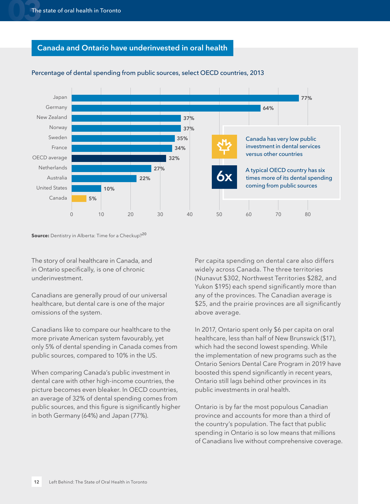#### **Canada and Ontario have underinvested in oral health**



#### Percentage of dental spending from public sources, select OECD countries, 2013

**Source:** Dentistry in Alberta: Time for a Checkup?<sup>[20](#page-31-1)</sup>

The story of oral healthcare in Canada, and in Ontario specifically, is one of chronic underinvestment.

Canadians are generally proud of our universal healthcare, but dental care is one of the major omissions of the system.

Canadians like to compare our healthcare to the more private American system favourably, yet only 5% of dental spending in Canada comes from public sources, compared to 10% in the US.

**0 10 20 30 40 50 60 70 80** When comparing Canada's public investment in dental care with other high-income countries, the picture becomes even bleaker. In OECD countries, an average of 32% of dental spending comes from public sources, and this figure is significantly higher in both Germany (64%) and Japan (77%).

Per capita spending on dental care also differs widely across Canada. The three territories (Nunavut \$302, Northwest Territories \$282, and Yukon \$195) each spend significantly more than any of the provinces. The Canadian average is \$25, and the prairie provinces are all significantly above average.

In 2017, Ontario spent only \$6 per capita on oral healthcare, less than half of New Brunswick (\$17), which had the second lowest spending. While the implementation of new programs such as the Ontario Seniors Dental Care Program in 2019 have boosted this spend significantly in recent years, Ontario still lags behind other provinces in its public investments in oral health.

Ontario is by far the most populous Canadian province and accounts for more than a third of the country's population. The fact that public spending in Ontario is so low means that millions of Canadians live without comprehensive coverage.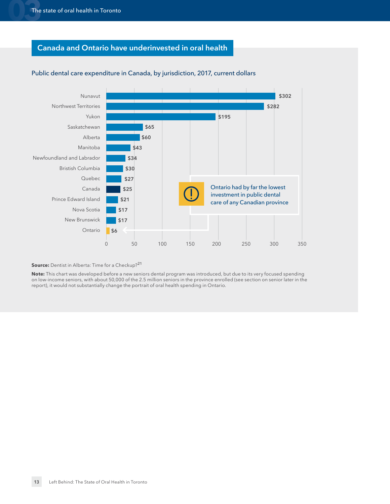#### **Canada and Ontario have underinvested in oral health**



#### Public dental care expenditure in Canada, by jurisdiction, 2017, current dollars

**Source:** Dentist in Alberta: Time for a Checkup?<sup>[21](#page-31-1)</sup>

**Note:** This chart was developed before a new seniors dental program was introduced, but due to its very focused spending on low-income seniors, with about 50,000 of the 2.5 million seniors in the province enrolled (see section on senior later in the report), it would not substantially change the portrait of oral health spending in Ontario.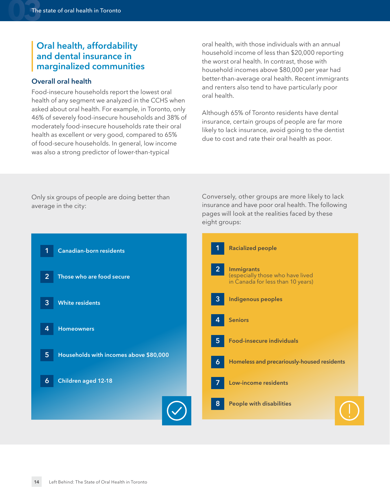#### <span id="page-13-0"></span>**Oral health, affordability and dental insurance in marginalized communities**

#### **Overall oral health**

Food-insecure households report the lowest oral health of any segment we analyzed in the CCHS when asked about oral health. For example, in Toronto, only 46% of severely food-insecure households and 38% of moderately food-insecure households rate their oral health as excellent or very good, compared to 65% of food-secure households. In general, low income was also a strong predictor of lower-than-typical

oral health, with those individuals with an annual household income of less than \$20,000 reporting the worst oral health. In contrast, those with household incomes above \$80,000 per year had better-than-average oral health. Recent immigrants and renters also tend to have particularly poor oral health.

Although 65% of Toronto residents have dental insurance, certain groups of people are far more likely to lack insurance, avoid going to the dentist due to cost and rate their oral health as poor.

Only six groups of people are doing better than average in the city:

Conversely, other groups are more likely to lack insurance and have poor oral health. The following pages will look at the realities faced by these eight groups:

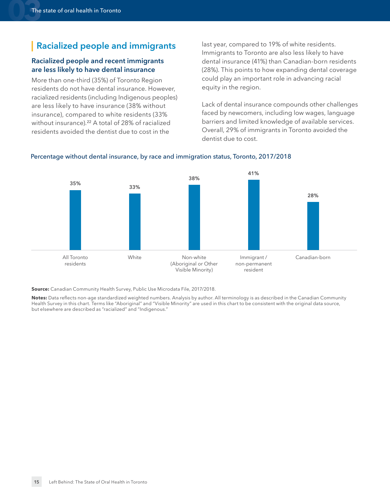#### <span id="page-14-0"></span>**Racialized people and immigrants**

#### **Racialized people and recent immigrants are less likely to have dental insurance**

More than one-third (35%) of Toronto Region residents do not have dental insurance. However, racialized residents (including Indigenous peoples) are less likely to have insurance (38% without insurance), compared to white residents (33% without insurance).<sup>[22](#page-31-1)</sup> A total of 28% of racialized residents avoided the dentist due to cost in the

last year, compared to 19% of white residents. Immigrants to Toronto are also less likely to have dental insurance (41%) than Canadian-born residents (28%). This points to how expanding dental coverage could play an important role in advancing racial equity in the region.

Lack of dental insurance compounds other challenges faced by newcomers, including low wages, language barriers and limited knowledge of available services. Overall, 29% of immigrants in Toronto avoided the dentist due to cost.



#### Percentage without dental insurance, by race and immigration status, Toronto, 2017/2018

**Source:** Canadian Community Health Survey, Public Use Microdata File, 2017/2018.

**Notes:** Data reflects non-age standardized weighted numbers. Analysis by author. All terminology is as described in the Canadian Community Health Survey in this chart. Terms like "Aboriginal" and "Visible Minority" are used in this chart to be consistent with the original data source, but elsewhere are described as "racialized" and "Indigenous."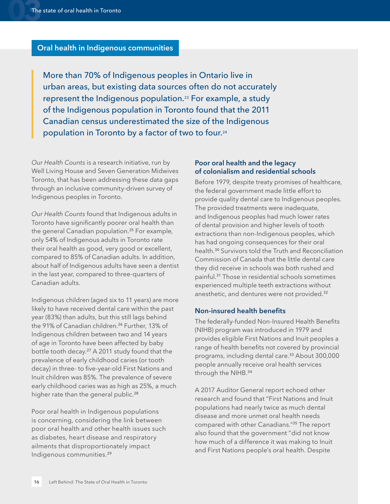#### <span id="page-15-0"></span>**Oral health in Indigenous communities**

More than 70% of Indigenous peoples in Ontario live in urban areas, but existing data sources often do not accurately represent the Indigenous population.[23](#page-31-1) For example, a study of the Indigenous population in Toronto found that the 2011 Canadian census underestimated the size of the Indigenous population in Toronto by a factor of two to four.[24](#page-31-1)

*Our Health Counts* is a research initiative, run by Well Living House and Seven Generation Midwives Toronto, that has been addressing these data gaps through an inclusive community-driven survey of Indigenous peoples in Toronto.

*Our Health Counts* found that Indigenous adults in Toronto have significantly poorer oral health than the general Canadian population.[25](#page-31-1) For example, only 54% of Indigenous adults in Toronto rate their oral health as good, very good or excellent, compared to 85% of Canadian adults. In addition, about half of Indigenous adults have seen a dentist in the last year, compared to three-quarters of Canadian adults.

Indigenous children (aged six to 11 years) are more likely to have received dental care within the past year (83%) than adults, but this still lags behind the 91% of Canadian children.<sup>[26](#page-31-1)</sup> Further, 13% of Indigenous children between two and 14 years of age in Toronto have been affected by baby bottle tooth decay.[27](#page-31-1) A 2011 study found that the prevalence of early childhood caries (or tooth decay) in three- to five-year-old First Nations and Inuit children was 85%. The prevalence of severe early childhood caries was as high as 25%, a much higher rate than the general public.<sup>[28](#page-31-1)</sup>

Poor oral health in Indigenous populations is concerning, considering the link between poor oral health and other health issues such as diabetes, heart disease and respiratory ailments that disproportionately impact Indigenous communities.[29](#page-31-1)

#### **Poor oral health and the legacy of colonialism and residential schools**

Before 1979, despite treaty promises of healthcare, the federal government made little effort to provide quality dental care to Indigenous peoples. The provided treatments were inadequate, and Indigenous peoples had much lower rates of dental provision and higher levels of tooth extractions than non-Indigenous peoples, which has had ongoing consequences for their oral health.[30](#page-31-1) Survivors told the Truth and Reconciliation Commission of Canada that the little dental care they did receive in schools was both rushed and painful.[31](#page-31-1) Those in residential schools sometimes experienced multiple teeth extractions without anesthetic, and dentures were not provided.<sup>[32](#page-31-1)</sup>

#### **Non-insured health benefits**

The federally-funded Non-Insured Health Benefits (NIHB) program was introduced in 1979 and provides eligible First Nations and Inuit peoples a range of health benefits not covered by provincial programs, including dental care.[33](#page-31-1) About 300,000 people annually receive oral health services through the NIHB.[34](#page-31-1)

A 2017 Auditor General report echoed other research and found that "First Nations and Inuit populations had nearly twice as much dental disease and more unmet oral health needs compared with other Canadians."[35](#page-31-1) The report also found that the government "did not know how much of a difference it was making to Inuit and First Nations people's oral health. Despite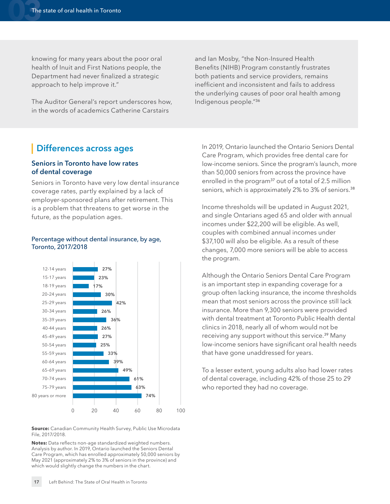<span id="page-16-1"></span>knowing for many years about the poor oral health of Inuit and First Nations people, the Department had never finalized a strategic approach to help improve it."

The Auditor General's report underscores how, in the words of academics Catherine Carstairs

and Ian Mosby, "the Non-Insured Health Benefits (NIHB) Program constantly frustrates both patients and service providers, remains inefficient and inconsistent and fails to address the underlying causes of poor oral health among Indigenous people." [36](#page-32-0)

#### <span id="page-16-0"></span>**Differences across ages**

#### **Seniors in Toronto have low rates of dental coverage**

Seniors in Toronto have very low dental insurance coverage rates, partly explained by a lack of employer-sponsored plans after retirement. This is a problem that threatens to get worse in the future, as the population ages.

#### Percentage without dental insurance, by age, Toronto, 2017/2018



**Source:** Canadian Community Health Survey, Public Use Microdata File, 2017/2018.

**Notes:** Data reflects non-age standardized weighted numbers. Analysis by author. In 2019, Ontario launched the Seniors Dental Care Program, which has enrolled approximately 50,000 seniors by May 2021 (approximately 2% to 3% of seniors in the province) and which would slightly change the numbers in the chart.

In 2019, Ontario launched the Ontario Seniors Dental Care Program, which provides free dental care for low-income seniors. Since the program's launch, more than 50,000 seniors from across the province have enrolled in the program<sup>[37](#page-32-0)</sup> out of a total of 2.5 million seniors, which is approximately 2% to 3% of seniors.<sup>[38](#page-32-0)</sup>

Income thresholds will be updated in August 2021, and single Ontarians aged 65 and older with annual incomes under \$22,200 will be eligible. As well, couples with combined annual incomes under \$37,100 will also be eligible. As a result of these changes, 7,000 more seniors will be able to access the program.

Although the Ontario Seniors Dental Care Program is an important step in expanding coverage for a group often lacking insurance, the income thresholds mean that most seniors across the province still lack insurance. More than 9,300 seniors were provided with dental treatment at Toronto Public Health dental clinics in 2018, nearly all of whom would not be receiving any support without this service.<sup>[39](#page-32-0)</sup> Many low-income seniors have significant oral health needs that have gone unaddressed for years.

To a lesser extent, young adults also had lower rates of dental coverage, including 42% of those 25 to 29 who reported they had no coverage.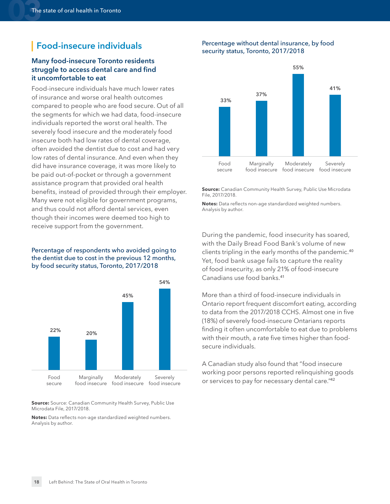#### <span id="page-17-0"></span>**Food-insecure individuals**

#### **Many food-insecure Toronto residents struggle to access dental care and find it uncomfortable to eat**

Food-insecure individuals have much lower rates of insurance and worse oral health outcomes compared to people who are food secure. Out of all the segments for which we had data, food-insecure individuals reported the worst oral health. The severely food insecure and the moderately food insecure both had low rates of dental coverage, often avoided the dentist due to cost and had very low rates of dental insurance. And even when they did have insurance coverage, it was more likely to be paid out-of-pocket or through a government assistance program that provided oral health benefits, instead of provided through their employer. Many were not eligible for government programs, and thus could not afford dental services, even though their incomes were deemed too high to receive support from the government.

#### Percentage of respondents who avoided going to the dentist due to cost in the previous 12 months, by food security status, Toronto, 2017/2018



**Source:** Source: Canadian Community Health Survey, Public Use Microdata File, 2017/2018.

**Notes:** Data reflects non-age standardized weighted numbers. Analysis by author.

#### Percentage without dental insurance, by food security status, Toronto, 2017/2018



**Source:** Canadian Community Health Survey, Public Use Microdata File, 2017/2018.

**Notes:** Data reflects non-age standardized weighted numbers. Analysis by author.

During the pandemic, food insecurity has soared, with the Daily Bread Food Bank's volume of new clients tripling in the early months of the pandemic.[40](#page-32-0) Yet, food bank usage fails to capture the reality of food insecurity, as only 21% of food-insecure Canadians use food banks.[41](#page-32-0)

More than a third of food-insecure individuals in Ontario report frequent discomfort eating, according to data from the 2017/2018 CCHS. Almost one in five (18%) of severely food-insecure Ontarians reports finding it often uncomfortable to eat due to problems with their mouth, a rate five times higher than foodsecure individuals.

A Canadian study also found that "food insecure working poor persons reported relinquishing goods or services to pay for necessary dental care."[42](#page-32-0)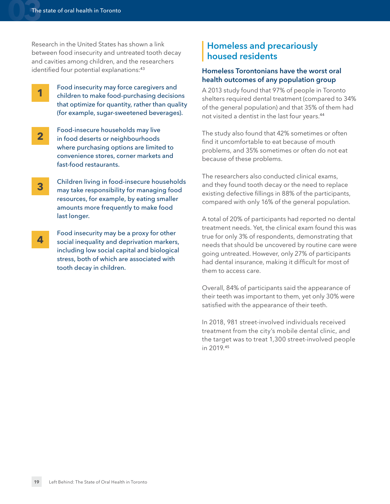Research in the United States has shown a link between food insecurity and untreated tooth decay and cavities among children, and the researchers identified four potential explanations:<sup>[43](#page-32-0)</sup>

**1**

Food insecurity may force caregivers and children to make food-purchasing decisions that optimize for quantity, rather than quality (for example, sugar-sweetened beverages).

- Food-insecure households may live in food deserts or neighbourhoods where purchasing options are limited to convenience stores, corner markets and fast-food restaurants. **2**
- Children living in food-insecure households may take responsibility for managing food resources, for example, by eating smaller amounts more frequently to make food last longer. **3**
- Food insecurity may be a proxy for other social inequality and deprivation markers, including low social capital and biological stress, both of which are associated with tooth decay in children. **4**

#### <span id="page-18-0"></span>**Homeless and precariously housed residents**

#### **Homeless Torontonians have the worst oral health outcomes of any population group**

A 2013 study found that 97% of people in Toronto shelters required dental treatment (compared to 34% of the general population) and that 35% of them had not visited a dentist in the last four years.[44](#page-32-0)

The study also found that 42% sometimes or often find it uncomfortable to eat because of mouth problems, and 35% sometimes or often do not eat because of these problems.

The researchers also conducted clinical exams, and they found tooth decay or the need to replace existing defective fillings in 88% of the participants, compared with only 16% of the general population.

A total of 20% of participants had reported no dental treatment needs. Yet, the clinical exam found this was true for only 3% of respondents, demonstrating that needs that should be uncovered by routine care were going untreated. However, only 27% of participants had dental insurance, making it difficult for most of them to access care.

Overall, 84% of participants said the appearance of their teeth was important to them, yet only 30% were satisfied with the appearance of their teeth.

In 2018, 981 street-involved individuals received treatment from the city's mobile dental clinic, and the target was to treat 1,300 street-involved people in 2019.[45](#page-32-0)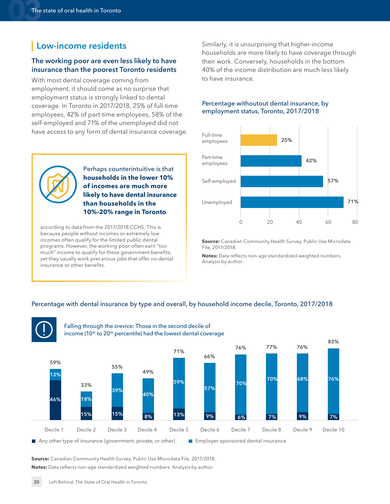#### <span id="page-19-0"></span>**Low-income residents**

#### **The working poor are even less likely to have insurance than the poorest Toronto residents**

With most dental coverage coming from employment, it should come as no surprise that employment status is strongly linked to dental coverage. In Toronto in 2017/2018, 25% of full-time employees, 42% of part-time employees, 58% of the self-employed and 71% of the unemployed did not have access to any form of dental insurance coverage.

> Perhaps counterintuitive is that **households in the lower 10% of incomes are much more likely to have dental insurance**

**than households in the 10%-20% range in Toronto**

according to data from the 2017/2018 CCHS. This is because people without incomes or extremely low incomes often qualify for the limited public dental programs. However, the working poor often earn "too much" income to qualify for these government benefits, yet they usually work precarious jobs that offer no dental

insurance or other benefits.

Similarly, it is unsurprising that higher-income households are more likely to have coverage through their work. Conversely, households in the bottom 40% of the income distribution are much less likely to have insurance.

#### Percentage withoutout dental insurance, by employment status, Toronto, 2017/2018



**Source:** Canadian Community Health Survey, Public Use Microdata File, 2017/2018.

**Notes:** Data reflects non-age standardized weighted numbers. Analysis by author.

#### Percentage with dental insurance by type and overall, by household income decile, Toronto, 2017/2018







**Source:** Canadian Community Health Survey, Public Use Microdata File, 2017/2018. **Notes:** Data reflects non-age standardized weighted numbers. Analysis by author.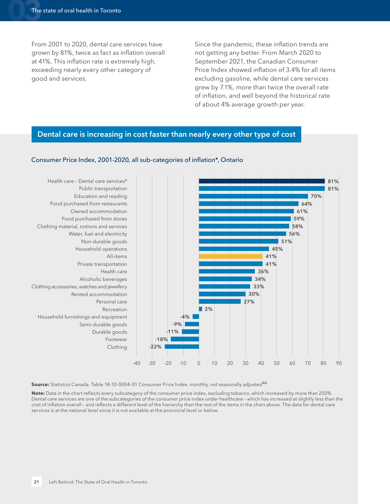From 2001 to 2020, dental care services have grown by 81%, twice as fact as inflation overall at 41%. This inflation rate is extremely high, exceeding nearly every other category of good and services.

Since the pandemic, these inflation trends are not getting any better. From March 2020 to September 2021, the Canadian Consumer Price Index showed inflation of 3.4% for all items excluding gasoline, while dental care services grew by 7.1%, more than twice the overall rate of inflation, and well beyond the historical rate of about 4% average growth per year.

#### **Dental care is increasing in cost faster than nearly every other type of cost**



#### Consumer Price Index, 2001-2020, all sub-categories of inflation\*, Ontario

Source: Statistics Canada. Table 18-10-0004-01 Consumer Price Index, monthly, not seasonally adjusted<sup>[46](#page-32-0)</sup>

**Note:** Data in the chart reflects every subcategory of the consumer price index, excluding tobacco, which increased by more than 250%. Dental care services are one of the subcategories of the consumer price index under healthcare – which has increased at slightly less than the cost of inflation overall – and reflects a different level of the hierarchy than the rest of the items in the chart above. The data for dental care services is at the national level since it is not available at the provincial level or below.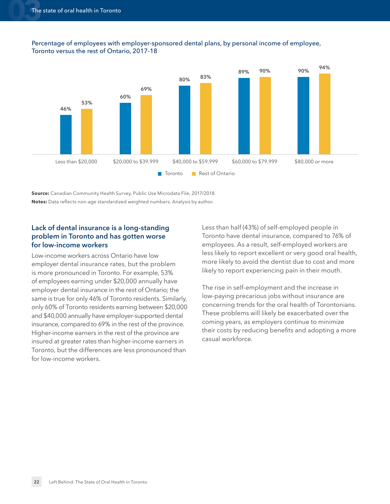



**Source:** Canadian Community Health Survey, Public Use Microdata File, 2017/2018. **Notes:** Data reflects non-age standardized weighted numbers. Analysis by author.

#### **Lack of dental insurance is a long-standing problem in Toronto and has gotten worse for low-income workers**

Low-income workers across Ontario have low employer dental insurance rates, but the problem is more pronounced in Toronto. For example, 53% of employees earning under \$20,000 annually have employer dental insurance in the rest of Ontario; the same is true for only 46% of Toronto residents. Similarly, only 60% of Toronto residents earning between \$20,000 and \$40,000 annually have employer-supported dental insurance, compared to 69% in the rest of the province. Higher-income earners in the rest of the province are insured at greater rates than higher-income earners in Toronto, but the differences are less pronounced than for low-income workers.

Less than half (43%) of self-employed people in Toronto have dental insurance, compared to 76% of employees. As a result, self-employed workers are less likely to report excellent or very good oral health, more likely to avoid the dentist due to cost and more likely to report experiencing pain in their mouth.

The rise in self-employment and the increase in low-paying precarious jobs without insurance are concerning trends for the oral health of Torontonians. These problems will likely be exacerbated over the coming years, as employers continue to minimize their costs by reducing benefits and adopting a more casual workforce.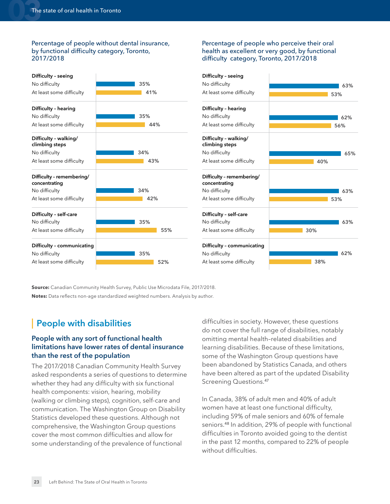#### Percentage of people without dental insurance, by functional difficulty category, Toronto, 2017/2018

#### Percentage of people who perceive their oral health as excellent or very good, by functional difficulty category, Toronto, 2017/2018



**Source:** Canadian Community Health Survey, Public Use Microdata File, 2017/2018. **Notes:** Data reflects non-age standardized weighted numbers. Analysis by author.

#### <span id="page-22-0"></span>**People with disabilities**

#### **People with any sort of functional health limitations have lower rates of dental insurance than the rest of the population**

The 2017/2018 Canadian Community Health Survey asked respondents a series of questions to determine whether they had any difficulty with six functional health components: vision, hearing, mobility (walking or climbing steps), cognition, self-care and communication. The Washington Group on Disability Statistics developed these questions. Although not comprehensive, the Washington Group questions cover the most common difficulties and allow for some understanding of the prevalence of functional

difficulties in society. However, these questions do not cover the full range of disabilities, notably omitting mental health–related disabilities and learning disabilities. Because of these limitations, some of the Washington Group questions have been abandoned by Statistics Canada, and others have been altered as part of the updated Disability Screening Questions.[47](#page-32-0)

In Canada, 38% of adult men and 40% of adult women have at least one functional difficulty, including 59% of male seniors and 60% of female seniors.[48](#page-32-0) In addition, 29% of people with functional difficulties in Toronto avoided going to the dentist in the past 12 months, compared to 22% of people without difficulties.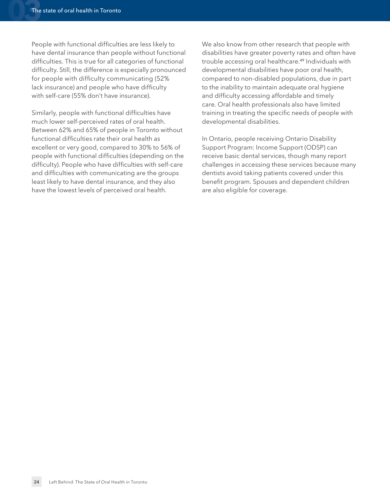People with functional difficulties are less likely to have dental insurance than people without functional difficulties. This is true for all categories of functional difficulty. Still, the difference is especially pronounced for people with difficulty communicating (52% lack insurance) and people who have difficulty with self-care (55% don't have insurance).

Similarly, people with functional difficulties have much lower self-perceived rates of oral health. Between 62% and 65% of people in Toronto without functional difficulties rate their oral health as excellent or very good, compared to 30% to 56% of people with functional difficulties (depending on the difficulty). People who have difficulties with self-care and difficulties with communicating are the groups least likely to have dental insurance, and they also have the lowest levels of perceived oral health.

We also know from other research that people with disabilities have greater poverty rates and often have trouble accessing oral healthcare.[49](#page-32-0) Individuals with developmental disabilities have poor oral health, compared to non-disabled populations, due in part to the inability to maintain adequate oral hygiene and difficulty accessing affordable and timely care. Oral health professionals also have limited training in treating the specific needs of people with developmental disabilities.

In Ontario, people receiving Ontario Disability Support Program: Income Support (ODSP) can receive basic dental services, though many report challenges in accessing these services because many dentists avoid taking patients covered under this benefit program. Spouses and dependent children are also eligible for coverage.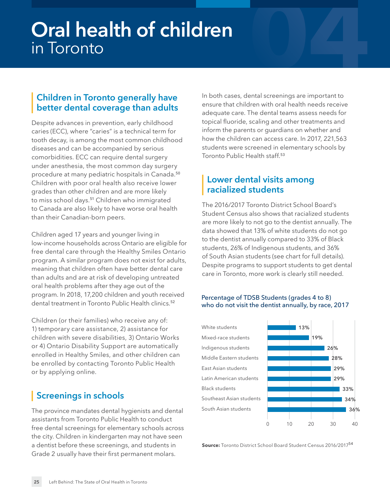# <span id="page-24-4"></span><span id="page-24-0"></span>**Oral health of children Oral health of children**<br>in Toronto<br>**1944 - Paris Controller State of Controller State of Controller State of Controller State of Controller State o**

#### <span id="page-24-1"></span>**Children in Toronto generally have better dental coverage than adults**

Despite advances in prevention, early childhood caries (ECC), where "caries" is a technical term for tooth decay, is among the most common childhood diseases and can be accompanied by serious comorbidities. ECC can require dental surgery under anesthesia, the most common day surgery procedure at many pediatric hospitals in Canada.[50](#page-32-0) Children with poor oral health also receive lower grades than other children and are more likely to miss school days.<sup>[51](#page-32-0)</sup> Children who immigrated to Canada are also likely to have worse oral health than their Canadian-born peers.

Children aged 17 years and younger living in low-income households across Ontario are eligible for free dental care through the Healthy Smiles Ontario program. A similar program does not exist for adults, meaning that children often have better dental care than adults and are at risk of developing untreated oral health problems after they age out of the program. In 2018, 17,200 children and youth received dental treatment in Toronto Public Health clinics.<sup>[52](#page-32-0)</sup>

Children (or their families) who receive any of: 1) temporary care assistance, 2) assistance for children with severe disabilities, 3) Ontario Works or 4) Ontario Disability Support are automatically enrolled in Healthy Smiles, and other children can be enrolled by contacting Toronto Public Health or by applying online.

#### <span id="page-24-2"></span>**Screenings in schools**

The province mandates dental hygienists and dental assistants from Toronto Public Health to conduct free dental screenings for elementary schools across the city. Children in kindergarten may not have seen a dentist before these screenings, and students in Grade 2 usually have their first permanent molars.

In both cases, dental screenings are important to ensure that children with oral health needs receive adequate care. The dental teams assess needs for topical fluoride, scaling and other treatments and inform the parents or guardians on whether and how the children can access care. In 2017, 221,563 students were screened in elementary schools by Toronto Public Health staff.<sup>[53](#page-32-0)</sup>

#### <span id="page-24-3"></span>**Lower dental visits among racialized students**

The 2016/2017 Toronto District School Board's Student Census also shows that racialized students are more likely to not go to the dentist annually. The data showed that 13% of white students do not go to the dentist annually compared to 33% of Black students, 26% of Indigenous students, and 36% of South Asian students (see chart for full details). Despite programs to support students to get dental care in Toronto, more work is clearly still needed.

#### Percentage of TDSB Students (grades 4 to 8) who do not visit the dentist annually, by race, 2017



**Source:** Toronto District School Board Student Census 2016/2017[54](#page-32-0)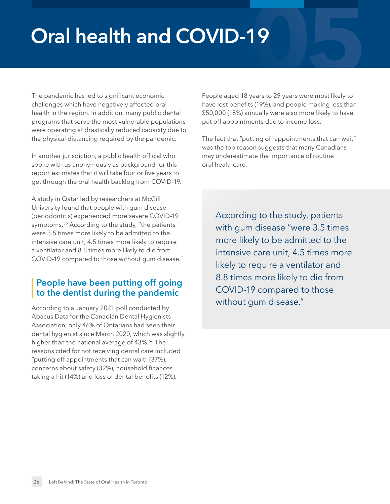# <span id="page-25-0"></span>**Oral health and COVID-19**

The pandemic has led to significant economic challenges which have negatively affected oral health in the region. In addition, many public dental programs that serve the most vulnerable populations were operating at drastically reduced capacity due to the physical distancing required by the pandemic.

In another jurisdiction, a public health official who spoke with us anonymously as background for this report estimates that it will take four or five years to get through the oral health backlog from COVID-19.

A study in Qatar led by researchers at McGill University found that people with gum disease (periodontitis) experienced more severe COVID-19 symptoms.<sup>[55](#page-33-0)</sup> According to the study, "the patients were 3.5 times more likely to be admitted to the intensive care unit, 4.5 times more likely to require a ventilator and 8.8 times more likely to die from COVID-19 compared to those without gum disease."

#### <span id="page-25-1"></span>**People have been putting off going to the dentist during the pandemic**

According to a January 2021 poll conducted by Abacus Data for the Canadian Dental Hygienists Association, only 46% of Ontarians had seen their dental hygienist since March 2020, which was slightly higher than the national average of 43%.<sup>[56](#page-33-0)</sup> The reasons cited for not receiving dental care included "putting off appointments that can wait" (37%), concerns about safety (32%), household finances taking a hit (14%) and loss of dental benefits (12%).

**19**<br>Spears to 29 years were most likely to People aged 18 years to 29 years were most likely to have lost benefits (19%), and people making less than \$50,000 (18%) annually were also more likely to have put off appointments due to income loss.

The fact that "putting off appointments that can wait" was the top reason suggests that many Canadians may underestimate the importance of routine oral healthcare.

According to the study, patients with gum disease "were 3.5 times more likely to be admitted to the intensive care unit, 4.5 times more likely to require a ventilator and 8.8 times more likely to die from COVID-19 compared to those without gum disease."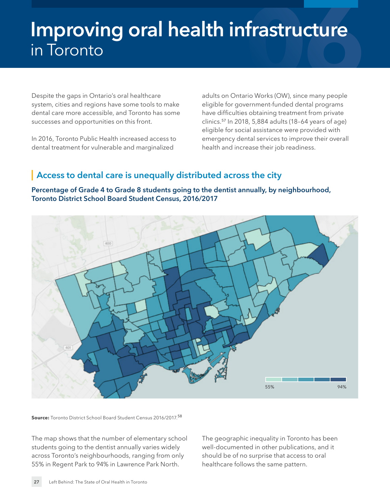# <span id="page-26-0"></span>**Improving oral health infrastructure** in Toronto

Despite the gaps in Ontario's oral healthcare system, cities and regions have some tools to make dental care more accessible, and Toronto has some successes and opportunities on this front.

In 2016, Toronto Public Health increased access to dental treatment for vulnerable and marginalized

adults on Ontario Works (OW), since many people eligible for government-funded dental programs have difficulties obtaining treatment from private clinics.[57](#page-33-0) In 2018, 5,884 adults (18–64 years of age) eligible for social assistance were provided with emergency dental services to improve their overall health and increase their job readiness.

#### <span id="page-26-1"></span>**Access to dental care is unequally distributed across the city**





**Source:** Toronto District School Board Student Census 2016/2017.[58](#page-33-0)

The map shows that the number of elementary school students going to the dentist annually varies widely across Toronto's neighbourhoods, ranging from only 55% in Regent Park to 94% in Lawrence Park North.

The geographic inequality in Toronto has been well-documented in other publications, and it should be of no surprise that access to oral healthcare follows the same pattern.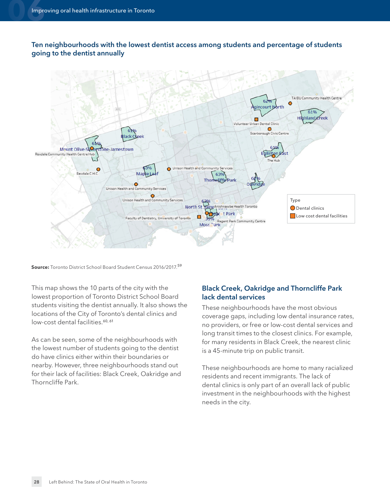<span id="page-27-0"></span>**Ten neighbourhoods with the lowest dentist access among students and percentage of students going to the dentist annually**



**Source:** Toronto District School Board Student Census 2016/2017.[59](#page-33-0)

This map shows the 10 parts of the city with the lowest proportion of Toronto District School Board students visiting the dentist annually. It also shows the locations of the City of Toronto's dental clinics and low-cost dental facilities.<sup>[60,](#page-33-0) [61](#page-33-0)</sup>

As can be seen, some of the neighbourhoods with the lowest number of students going to the dentist do have clinics either within their boundaries or nearby. However, three neighbourhoods stand out for their lack of facilities: Black Creek, Oakridge and Thorncliffe Park.

#### **Black Creek, Oakridge and Thorncliffe Park lack dental services**

These neighbourhoods have the most obvious coverage gaps, including low dental insurance rates, no providers, or free or low-cost dental services and long transit times to the closest clinics. For example, for many residents in Black Creek, the nearest clinic is a 45-minute trip on public transit.

These neighbourhoods are home to many racialized residents and recent immigrants. The lack of dental clinics is only part of an overall lack of public investment in the neighbourhoods with the highest needs in the city.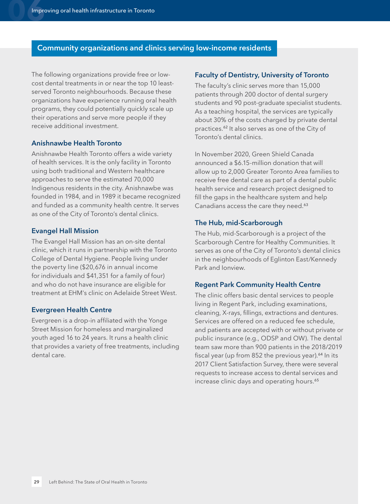#### **Community organizations and clinics serving low-income residents**

The following organizations provide free or lowcost dental treatments in or near the top 10 leastserved Toronto neighbourhoods. Because these organizations have experience running oral health programs, they could potentially quickly scale up their operations and serve more people if they receive additional investment.

#### **Anishnawbe Health Toronto**

Anishnawbe Health Toronto offers a wide variety of health services. It is the only facility in Toronto using both traditional and Western healthcare approaches to serve the estimated 70,000 Indigenous residents in the city. Anishnawbe was founded in 1984, and in 1989 it became recognized and funded as a community health centre. It serves as one of the City of Toronto's dental clinics.

#### **Evangel Hall Mission**

The Evangel Hall Mission has an on-site dental clinic, which it runs in partnership with the Toronto College of Dental Hygiene. People living under the poverty line (\$20,676 in annual income for individuals and \$41,351 for a family of four) and who do not have insurance are eligible for treatment at EHM's clinic on Adelaide Street West.

#### **Evergreen Health Centre**

Evergreen is a drop-in affiliated with the Yonge Street Mission for homeless and marginalized youth aged 16 to 24 years. It runs a health clinic that provides a variety of free treatments, including dental care.

#### **Faculty of Dentistry, University of Toronto**

The faculty's clinic serves more than 15,000 patients through 200 doctor of dental surgery students and 90 post-graduate specialist students. As a teaching hospital, the services are typically about 30% of the costs charged by private dental practices.[62](#page-33-0) It also serves as one of the City of Toronto's dental clinics.

In November 2020, Green Shield Canada announced a \$6.15-million donation that will allow up to 2,000 Greater Toronto Area families to receive free dental care as part of a dental public health service and research project designed to fill the gaps in the healthcare system and help Canadians access the care they need.<sup>[63](#page-33-0)</sup>

#### **The Hub, mid-Scarborough**

The Hub, mid-Scarborough is a project of the Scarborough Centre for Healthy Communities. It serves as one of the City of Toronto's dental clinics in the neighbourhoods of Eglinton East/Kennedy Park and Ionview.

#### **Regent Park Community Health Centre**

The clinic offers basic dental services to people living in Regent Park, including examinations, cleaning, X-rays, fillings, extractions and dentures. Services are offered on a reduced fee schedule, and patients are accepted with or without private or public insurance (e.g., ODSP and OW). The dental team saw more than 900 patients in the 2018/2019 fiscal year (up from  $852$  the previous year).<sup>[64](#page-33-0)</sup> In its 2017 Client Satisfaction Survey, there were several requests to increase access to dental services and increase clinic days and operating hours.<sup>[65](#page-33-0)</sup>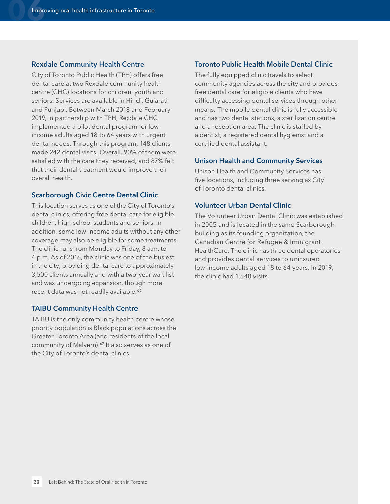#### **Rexdale Community Health Centre**

City of Toronto Public Health (TPH) offers free dental care at two Rexdale community health centre (CHC) locations for children, youth and seniors. Services are available in Hindi, Gujarati and Punjabi. Between March 2018 and February 2019, in partnership with TPH, Rexdale CHC implemented a pilot dental program for lowincome adults aged 18 to 64 years with urgent dental needs. Through this program, 148 clients made 242 dental visits. Overall, 90% of them were satisfied with the care they received, and 87% felt that their dental treatment would improve their overall health.

#### **Scarborough Civic Centre Dental Clinic**

This location serves as one of the City of Toronto's dental clinics, offering free dental care for eligible children, high-school students and seniors. In addition, some low-income adults without any other coverage may also be eligible for some treatments. The clinic runs from Monday to Friday, 8 a.m. to 4 p.m. As of 2016, the clinic was one of the busiest in the city, providing dental care to approximately 3,500 clients annually and with a two-year wait-list and was undergoing expansion, though more recent data was not readily available.<sup>[66](#page-33-0)</sup>

#### **TAIBU Community Health Centre**

TAIBU is the only community health centre whose priority population is Black populations across the Greater Toronto Area (and residents of the local community of Malvern).[67](#page-33-0) It also serves as one of the City of Toronto's dental clinics.

#### **Toronto Public Health Mobile Dental Clinic**

The fully equipped clinic travels to select community agencies across the city and provides free dental care for eligible clients who have difficulty accessing dental services through other means. The mobile dental clinic is fully accessible and has two dental stations, a sterilization centre and a reception area. The clinic is staffed by a dentist, a registered dental hygienist and a certified dental assistant.

#### **Unison Health and Community Services**

Unison Health and Community Services has five locations, including three serving as City of Toronto dental clinics.

#### **Volunteer Urban Dental Clinic**

The Volunteer Urban Dental Clinic was established in 2005 and is located in the same Scarborough building as its founding organization, the Canadian Centre for Refugee & Immigrant HealthCare. The clinic has three dental operatories and provides dental services to uninsured low-income adults aged 18 to 64 years. In 2019, the clinic had 1,548 visits.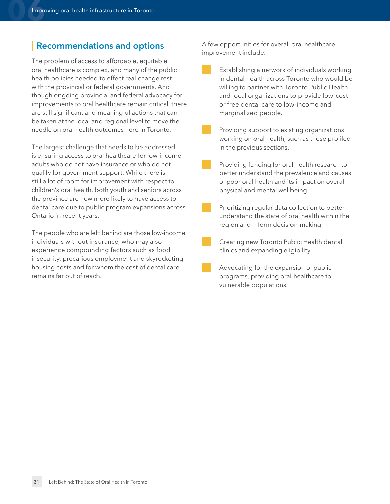#### <span id="page-30-0"></span>**Recommendations and options**

The problem of access to affordable, equitable oral healthcare is complex, and many of the public health policies needed to effect real change rest with the provincial or federal governments. And though ongoing provincial and federal advocacy for improvements to oral healthcare remain critical, there are still significant and meaningful actions that can be taken at the local and regional level to move the needle on oral health outcomes here in Toronto.

The largest challenge that needs to be addressed is ensuring access to oral healthcare for low-income adults who do not have insurance or who do not qualify for government support. While there is still a lot of room for improvement with respect to children's oral health, both youth and seniors across the province are now more likely to have access to dental care due to public program expansions across Ontario in recent years.

The people who are left behind are those low-income individuals without insurance, who may also experience compounding factors such as food insecurity, precarious employment and skyrocketing housing costs and for whom the cost of dental care remains far out of reach.

A few opportunities for overall oral healthcare improvement include:

Establishing a network of individuals working in dental health across Toronto who would be willing to partner with Toronto Public Health and local organizations to provide low-cost or free dental care to low-income and marginalized people.

Providing support to existing organizations working on oral health, such as those profiled in the previous sections.

Providing funding for oral health research to better understand the prevalence and causes of poor oral health and its impact on overall physical and mental wellbeing.

Prioritizing regular data collection to better understand the state of oral health within the region and inform decision-making.

Creating new Toronto Public Health dental clinics and expanding eligibility.

Advocating for the expansion of public programs, providing oral healthcare to vulnerable populations.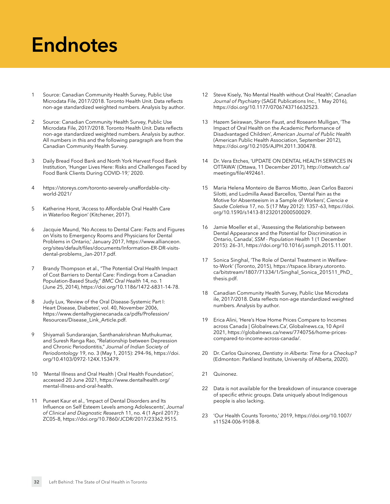# <span id="page-31-1"></span><span id="page-31-0"></span>**Endnotes**

- [1](#page-4-1) Source: Canadian Community Health Survey, Public Use Microdata File, 2017/2018. Toronto Health Unit. Data reflects non-age standardized weighted numbers. Analysis by author.
- [2](#page-4-1) Source: Canadian Community Health Survey, Public Use Microdata File, 2017/2018. Toronto Health Unit. Data reflects non-age standardized weighted numbers. Analysis by author. All numbers in this and the following paragraph are from the Canadian Community Health Survey.
- [3](#page-4-1) Daily Bread Food Bank and North York Harvest Food Bank Institution, 'Hunger Lives Here: Risks and Challenges Faced by Food Bank Clients During COVID-19,' 2020.
- [4](#page-4-1) [https://storeys.com/toronto-severely-unaffordable-city](https://storeys.com/toronto-severely-unaffordable-city-world-2021/)world-2021/
- [5](#page-4-1) Katherine Horst, 'Access to Affordable Oral Health Care in Waterloo Region' (Kitchener, 2017).
- [6](#page-4-1) Jacquie Maund, 'No Access to Dental Care: Facts and Figures on Visits to Emergency Rooms and Physicians for Dental [Problems in Ontario,' January 2017, https://www.allianceon.](https://www.allianceon.org/sites/default/files/documents/Information-ER-DR-visits-dental-problems_Jan-2017.pdf) org/sites/default/files/documents/Information-ER-DR-visitsdental-problems\_Jan-2017.pdf.
- [7](#page-4-1) Brandy Thompson et al., "The Potential Oral Health Impact of Cost Barriers to Dental Care: Findings from a Canadian Population-Based Study," *BMC Oral Health* 14, no. 1 (June 25, 2014), [https://doi.org/10.1186/1472-6831-14-78.](https://doi.org/10.1186/1472-6831-14-78)
- [8](#page-4-1) Judy Lux, 'Review of the Oral Disease-Systemic Part I: Heart Disease, Diabetes', vol. 40, November 2006, [https://www.dentalhygienecanada.ca/pdfs/Profession/](https://www.dentalhygienecanada.ca/pdfs/Profession/Resources/Disease_Link_Article.pdf) Resources/Disease\_Link\_Article.pdf.
- [9](#page-4-1) Shiyamali Sundararajan, Santhanakrishnan Muthukumar, and Suresh Ranga Rao, "Relationship between Depression and Chronic Periodontitis," *Journal of Indian Society of Periodontology* [19, no. 3 \(May 1, 2015\): 294–96, https://doi.](https://doi.org/10.4103/0972-124X.153479) org/10.4103/0972-124X.153479.
- [10](#page-4-1) 'Mental Illness and Oral Health | Oral Health Foundation', accessed 20 June 2021, [https://www.dentalhealth.org/](https://www.dentalhealth.org/mental-illness-and-oral-health)  mental-illness-and-oral-health.
- [11](#page-4-1) Puneet Kaur et al., 'Impact of Dental Disorders and Its Influence on Self Esteem Levels among Adolescents', *Journal of Clinical and Diagnostic Research* 11, no. 4 (1 April 2017): ZC05–8, [https://doi.org/10.7860/JCDR/2017/23362.9515.](https://doi.org/10.7860/JCDR/2017/23362.9515)
- [12](#page-10-0) Steve Kisely, 'No Mental Health without Oral Health', *Canadian Journal of Psychiatry* (SAGE Publications Inc., 1 May 2016), [https://doi.org/10.1177/0706743716632523.](https://doi.org/10.1177/0706743716632523)
- [13](#page-10-0) Hazem Seirawan, Sharon Faust, and Roseann Mulligan, 'The Impact of Oral Health on the Academic Performance of Disadvantaged Children', *American Journal of Public Health* (American Public Health Association, September 2012), [https://doi.org/10.2105/AJPH.2011.300478.](https://doi.org/10.2105/AJPH.2011.300478)
- [14](#page-10-0) Dr. Vera Etches, 'UPDATE ON DENTAL HEALTH SERVICES IN [OTTAWA' \(Ottawa, 11 December 2017\), http://ottwatch.ca/](http://ottwatch.ca/meetings/file/492461) meetings/file/492461.
- [15](#page-10-0) Maria Helena Monteiro de Barros Miotto, Jean Carlos Bazoni Silotti, and Ludmilla Awad Barcellos, 'Dental Pain as the Motive for Absenteeism in a Sample of Workers', *Ciencia e Saude Coletiva* [17, no. 5 \(17 May 2012\): 1357–63, https://doi.](https://doi.org/10.1590/s1413-81232012000500029) org/10.1590/s1413-81232012000500029.
- [16](#page-10-0) Jamie Moeller et al., 'Assessing the Relationship between Dental Appearance and the Potential for Discrimination in Ontario, Canada', *SSM - Population Health* 1 (1 December 2015): 26–31,<https://doi.org/10.1016/j.ssmph.2015.11.001>.
- [17](#page-10-0) Sonica Singhal, 'The Role of Dental Treatment in Welfareto-Work' (Toronto, 2015), https://tspace.library.utoronto. [ca/bitstream/1807/71334/1/Singhal\\_Sonica\\_201511\\_PhD\\_](https://tspace.library.utoronto.ca/bitstream/1807/71334/1/Singhal_Sonica_201511_PhD_thesis.pdf) thesis.pdf.
- [18](#page-10-0) Canadian Community Health Survey, Public Use Microdata ile, 2017/2018. Data reflects non-age standardized weighted numbers. Analysis by author.
- [19](#page-10-0) Erica Alini, 'Here's How Home Prices Compare to Incomes across Canada | Globalnews.Ca', Globalnews.ca, 10 April [2021, https://globalnews.ca/news/7740756/home-prices](https://globalnews.ca/news/7740756/home-prices-compared-to-income-across-canada/)compared-to-income-across-canada/.
- [20](#page-10-0) Dr. Carlos Quinonez, *Dentistry in Alberta: Time for a Checkup?*  (Edmonton: Parkland Institute, University of Alberta, 2020).
- [21](#page-10-0) Quinonez.
- [22](#page-10-0) Data is not available for the breakdown of insurance coverage of specific ethnic groups. Data uniquely about Indigenous people is also lacking.
- [23](#page-10-0) ['Our Health Counts Toronto,' 2019, https://doi.org/10.1007/](https://doi.org/10.1007/s11524-006-9108-8) s11524-006-9108-8.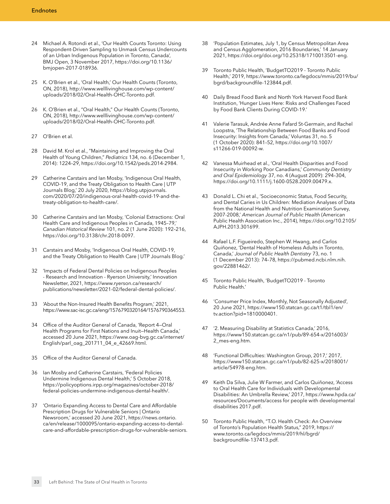- <span id="page-32-0"></span>[24](#page-15-0) Michael A. Rotondi et al., 'Our Health Counts Toronto: Using Respondent-Driven Sampling to Unmask Census Undercounts of an Urban Indigenous Population in Toronto, Canada', [BMJ Open, 3 November 2017, https://doi.org/10.1136/](https://doi.org/10.1136/bmjopen-2017-018936) bmjopen-2017-018936.
- [25](#page-15-0) K. O'Brien et al., 'Oral Health,' Our Health Counts (Toronto, [ON, 2018\), http://www.welllivinghouse.com/wp-content/](http://www.welllivinghouse.com/wp-content/uploads/2018/02/Oral-Health-OHC-Toronto.pdf) uploads/2018/02/Oral-Health-OHC-Toronto.pdf.
- [26](#page-15-0) K. O'Brien et al., "Oral Health," Our Health Counts (Toronto, [ON, 2018\), http://www.welllivinghouse.com/wp-content/](http://www.welllivinghouse.com/wp-content/uploads/2018/02/Oral-Health-OHC-Toronto.pdf) uploads/2018/02/Oral-Health-OHC-Toronto.pdf.
- [27](#page-15-0) O'Brien et al.
- [28](#page-15-0) David M. Krol et al., "Maintaining and Improving the Oral Health of Young Children," *Pediatrics* 134, no. 6 (December 1, 2014): 1224–29, [https://doi.org/10.1542/peds.2014-2984.](https://doi.org/10.1542/peds.2014-2984)
- [29](#page-15-0) Catherine Carstairs and Ian Mosby, 'Indigenous Oral Health, COVID-19, and the Treaty Obligation to Health Care | UTP Journals Blog,' 20 July 2020, https://blog.utpjournals. [com/2020/07/20/indigenous-oral-health-covid-19-and-the](https://blog.utpjournals.com/2020/07/20/indigenous-oral-health-covid-19-and-the-treaty-obligation-to-health-care/)treaty-obligation-to-health-care/.
- [30](#page-15-0) Catherine Carstairs and Ian Mosby, 'Colonial Extractions: Oral Health Care and Indigenous Peoples in Canada, 1945–79,' *Canadian Historical Review* 101, no. 2 (1 June 2020): 192–216, [https://doi.org/10.3138/chr.2018-0097.](https://doi.org/10.3138/chr.2018-0097)
- [31](#page-15-0) Carstairs and Mosby, 'Indigenous Oral Health, COVID-19, and the Treaty Obligation to Health Care | UTP Journals Blog.'
- [32](#page-15-0) 'Impacts of Federal Dental Policies on Indigenous Peoples - Research and Innovation - Ryerson University,' Innovation Newsletter, 2021, https://www.ryerson.ca/research/ [publications/newsletter/2021-02/federal-dental-policies/](https://www.ryerson.ca/research/publications/newsletter/2021-02/federal-dental-policies/).
- [33](#page-15-0) 'About the Non-Insured Health Benefits Program,' 2021, [https://www.sac-isc.gc.ca/eng/1576790320164/1576790364553.](https://www.sac-isc.gc.ca/eng/1576790320164/1576790364553)
- [34](#page-15-0) Office of the Auditor General of Canada, 'Report 4—Oral Health Programs for First Nations and Inuit—Health Canada,' [accessed 20 June 2021, https://www.oag-bvg.gc.ca/internet/](https://www.oag-bvg.gc.ca/internet/English/parl_oag_201711_04_e_42669.html) English/parl\_oag\_201711\_04\_e\_42669.html.
- [35](#page-15-0) Office of the Auditor General of Canada.
- [36](#page-15-0) Ian Mosby and Catherine Carstairs, 'Federal Policies Undermine Indigenous Dental Health,' 5 October 2018, [https://policyoptions.irpp.org/magazines/october-2018/](https://policyoptions.irpp.org/magazines/october-2018/federal-policies-undermine-indigenous-dental-health/) federal-policies-undermine-indigenous-dental-health/.
- [37](#page-15-0) 'Ontario Expanding Access to Dental Care and Affordable Prescription Drugs for Vulnerable Seniors | Ontario Newsroom,' accessed 20 June 2021, https://news.ontario. ca/en/release/1000095/ontario-expanding-access-to-dental[care-and-affordable-prescription-drugs-for-vulnerable-seniors](https://news.ontario.ca/en/release/1000095/ontario-expanding-access-to-dental-care-and-affordable-prescription-drugs-for-vulnerable-seniors).
- [38](#page-16-1) 'Population Estimates, July 1, by Census Metropolitan Area and Census Agglomeration, 2016 Boundaries,' 14 January 2021, <https://doi.org/doi.org/10.25318/1710013501-eng>.
- [39](#page-16-1) Toronto Public Health, 'BudgetTO2019 Toronto Public [Health,' 2019, https://www.toronto.ca/legdocs/mmis/2019/bu/](https://www.toronto.ca/legdocs/mmis/2019/bu/bgrd/backgroundfile-123844.pdf) bgrd/backgroundfile-123844.pdf.
- [40](#page-16-1) Daily Bread Food Bank and North York Harvest Food Bank Institution, 'Hunger Lives Here: Risks and Challenges Faced by Food Bank Clients During COVID-19.'
- [41](#page-16-1) Valerie Tarasuk, Andrée Anne Fafard St-Germain, and Rachel Loopstra, 'The Relationship Between Food Banks and Food Insecurity: Insights from Canada,' Voluntas 31, no. 5 [\(1 October 2020\): 841–52, https://doi.org/10.1007/](https://doi.org/10.1007/s11266-019-00092-w) s11266-019-00092-w.
- [42](#page-16-1) Vanessa Muirhead et al., 'Oral Health Disparities and Food Insecurity in Working Poor Canadians,' *Community Dentistry and Oral Epidemiology* 37, no. 4 (August 2009): 294–304, <https://doi.org/10.1111/j.1600-0528.2009.00479.x>.
- [43](#page-16-1) Donald L. Chi et al., 'Socioeconomic Status, Food Security, and Dental Caries in Us Children: Mediation Analyses of Data from the National Health and Nutrition Examination Survey, 2007-2008,' *American Journal of Public Health* (American [Public Health Association Inc., 2014\), https://doi.org/10.2105/](https://doi.org/10.2105/AJPH.2013.301699) AJPH.2013.301699.
- Rafael L.F. Figueiredo, Stephen W. Hwang, and Carlos Quiñonez, 'Dental Health of Homeless Adults in Toronto, Canada,' *Journal of Public Health Dentistry* 73, no. 1 [\(1 December 2013\): 74–78, https://pubmed.ncbi.nlm.nih.](https://pubmed.ncbi.nlm.nih.gov/22881462/) gov/22881462/.
- [45](#page-16-1) Toronto Public Health, 'BudgetTO2019 Toronto Public Health.'
- [46](#page-16-1) 'Consumer Price Index, Monthly, Not Seasonally Adjusted', [20 June 2021, https://www150.statcan.gc.ca/t1/tbl1/en/](https://www150.statcan.gc.ca/t1/tbl1/en/tv.action?pid=1810000401) tv.action?pid=1810000401.
- [47](#page-16-1) '2. Measuring Disability at Statistics Canada,' 2016, [https://www150.statcan.gc.ca/n1/pub/89-654-x/2016003/](https://www150.statcan.gc.ca/n1/pub/89-654-x/2016003/2_mes-eng.htm) 2\_mes-eng.htm.
- [48](#page-16-1) 'Functional Difficulties: Washington Group, 2017,' 2017, [https://www150.statcan.gc.ca/n1/pub/82-625-x/2018001/](https://www150.statcan.gc.ca/n1/pub/82-625-x/2018001/article/54978-eng.htm) article/54978-eng.htm.
- [49](#page-16-1) Keith Da Silva, Julie W Farmer, and Carlos Quiñonez, 'Access to Oral Health Care for Individuals with Developmental Disabilities: An Umbrella Review,' 2017, https://www.hpda.ca/ [resources/Documents/access for people with developmental](https://www.hpda.ca/resources/Documents/access for people with developmental disabilities 2017.pdf)  disabilities 2017.pdf.
- [50](#page-16-1) Toronto Public Health, "T.O. Health Check: An Overview [of Toronto's Population Health Status," 2019, https://](https://www.toronto.ca/legdocs/mmis/2019/hl/bgrd/backgroundfile-137413.pdf) www.toronto.ca/legdocs/mmis/2019/hl/bgrd/ backgroundfile-137413.pdf.